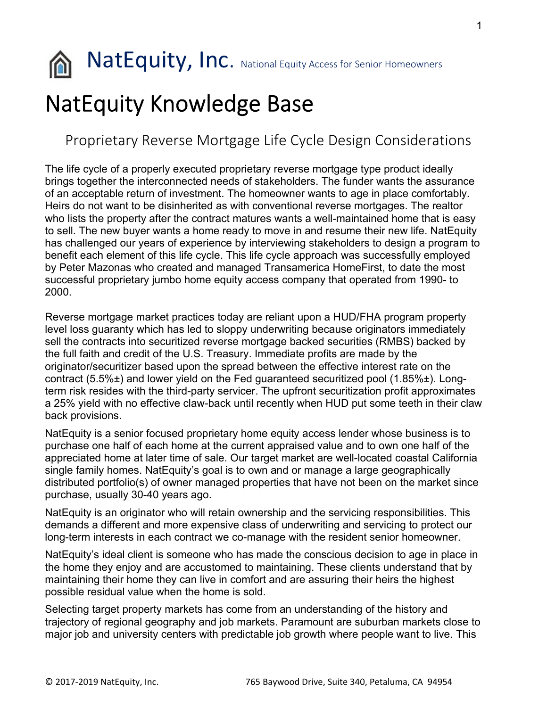

**NatEquity, Inc.** National Equity Access for Senior Homeowners

## NatEquity Knowledge Base

## Proprietary Reverse Mortgage Life Cycle Design Considerations

The life cycle of a properly executed proprietary reverse mortgage type product ideally brings together the interconnected needs of stakeholders. The funder wants the assurance of an acceptable return of investment. The homeowner wants to age in place comfortably. Heirs do not want to be disinherited as with conventional reverse mortgages. The realtor who lists the property after the contract matures wants a well-maintained home that is easy to sell. The new buyer wants a home ready to move in and resume their new life. NatEquity has challenged our years of experience by interviewing stakeholders to design a program to benefit each element of this life cycle. This life cycle approach was successfully employed by Peter Mazonas who created and managed Transamerica HomeFirst, to date the most successful proprietary jumbo home equity access company that operated from 1990- to 2000.

Reverse mortgage market practices today are reliant upon a HUD/FHA program property level loss guaranty which has led to sloppy underwriting because originators immediately sell the contracts into securitized reverse mortgage backed securities (RMBS) backed by the full faith and credit of the U.S. Treasury. Immediate profits are made by the originator/securitizer based upon the spread between the effective interest rate on the contract (5.5%±) and lower yield on the Fed guaranteed securitized pool (1.85%±). Longterm risk resides with the third-party servicer. The upfront securitization profit approximates a 25% yield with no effective claw-back until recently when HUD put some teeth in their claw back provisions.

NatEquity is a senior focused proprietary home equity access lender whose business is to purchase one half of each home at the current appraised value and to own one half of the appreciated home at later time of sale. Our target market are well-located coastal California single family homes. NatEquity's goal is to own and or manage a large geographically distributed portfolio(s) of owner managed properties that have not been on the market since purchase, usually 30-40 years ago.

NatEquity is an originator who will retain ownership and the servicing responsibilities. This demands a different and more expensive class of underwriting and servicing to protect our long-term interests in each contract we co-manage with the resident senior homeowner.

NatEquity's ideal client is someone who has made the conscious decision to age in place in the home they enjoy and are accustomed to maintaining. These clients understand that by maintaining their home they can live in comfort and are assuring their heirs the highest possible residual value when the home is sold.

Selecting target property markets has come from an understanding of the history and trajectory of regional geography and job markets. Paramount are suburban markets close to major job and university centers with predictable job growth where people want to live. This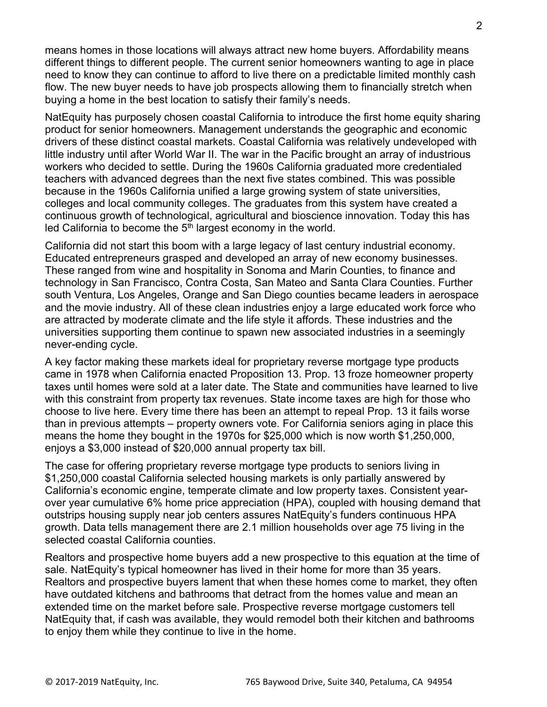means homes in those locations will always attract new home buyers. Affordability means different things to different people. The current senior homeowners wanting to age in place need to know they can continue to afford to live there on a predictable limited monthly cash flow. The new buyer needs to have job prospects allowing them to financially stretch when buying a home in the best location to satisfy their family's needs.

NatEquity has purposely chosen coastal California to introduce the first home equity sharing product for senior homeowners. Management understands the geographic and economic drivers of these distinct coastal markets. Coastal California was relatively undeveloped with little industry until after World War II. The war in the Pacific brought an array of industrious workers who decided to settle. During the 1960s California graduated more credentialed teachers with advanced degrees than the next five states combined. This was possible because in the 1960s California unified a large growing system of state universities, colleges and local community colleges. The graduates from this system have created a continuous growth of technological, agricultural and bioscience innovation. Today this has led California to become the  $5<sup>th</sup>$  largest economy in the world.

California did not start this boom with a large legacy of last century industrial economy. Educated entrepreneurs grasped and developed an array of new economy businesses. These ranged from wine and hospitality in Sonoma and Marin Counties, to finance and technology in San Francisco, Contra Costa, San Mateo and Santa Clara Counties. Further south Ventura, Los Angeles, Orange and San Diego counties became leaders in aerospace and the movie industry. All of these clean industries enjoy a large educated work force who are attracted by moderate climate and the life style it affords. These industries and the universities supporting them continue to spawn new associated industries in a seemingly never-ending cycle.

A key factor making these markets ideal for proprietary reverse mortgage type products came in 1978 when California enacted Proposition 13. Prop. 13 froze homeowner property taxes until homes were sold at a later date. The State and communities have learned to live with this constraint from property tax revenues. State income taxes are high for those who choose to live here. Every time there has been an attempt to repeal Prop. 13 it fails worse than in previous attempts – property owners vote. For California seniors aging in place this means the home they bought in the 1970s for \$25,000 which is now worth \$1,250,000, enjoys a \$3,000 instead of \$20,000 annual property tax bill.

The case for offering proprietary reverse mortgage type products to seniors living in \$1,250,000 coastal California selected housing markets is only partially answered by California's economic engine, temperate climate and low property taxes. Consistent yearover year cumulative 6% home price appreciation (HPA), coupled with housing demand that outstrips housing supply near job centers assures NatEquity's funders continuous HPA growth. Data tells management there are 2.1 million households over age 75 living in the selected coastal California counties.

Realtors and prospective home buyers add a new prospective to this equation at the time of sale. NatEquity's typical homeowner has lived in their home for more than 35 years. Realtors and prospective buyers lament that when these homes come to market, they often have outdated kitchens and bathrooms that detract from the homes value and mean an extended time on the market before sale. Prospective reverse mortgage customers tell NatEquity that, if cash was available, they would remodel both their kitchen and bathrooms to enjoy them while they continue to live in the home.